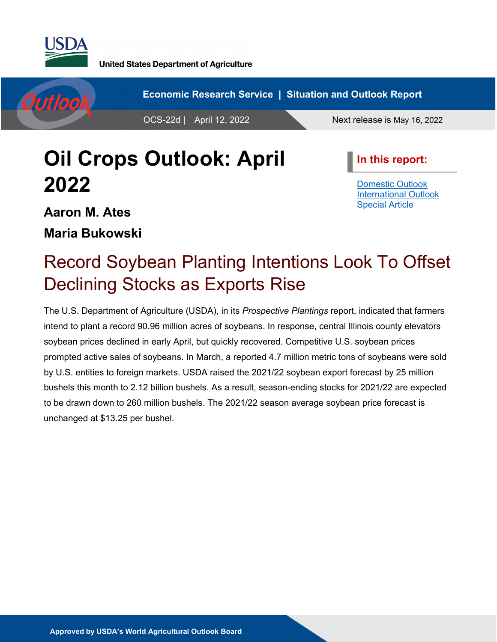



# **Oil Crops Outlook: April 2022**

**In this report:**

[Domestic Outlook](#page-2-0) [International Outlook](#page-6-0) [Special Article](#page-9-0)

## **Aaron M. Ates**

**Maria Bukowski**

# Record Soybean Planting Intentions Look To Offset Declining Stocks as Exports Rise

The U.S. Department of Agriculture (USDA), in its *Prospective Plantings* report, indicated that farmers intend to plant a record 90.96 million acres of soybeans. In response, central Illinois county elevators soybean prices declined in early April, but quickly recovered. Competitive U.S. soybean prices prompted active sales of soybeans. In March, a reported 4.7 million metric tons of soybeans were sold by U.S. entities to foreign markets. USDA raised the 2021/22 soybean export forecast by 25 million bushels this month to 2.12 billion bushels. As a result, season-ending stocks for 2021/22 are expected to be drawn down to 260 million bushels. The 2021/22 season average soybean price forecast is unchanged at \$13.25 per bushel.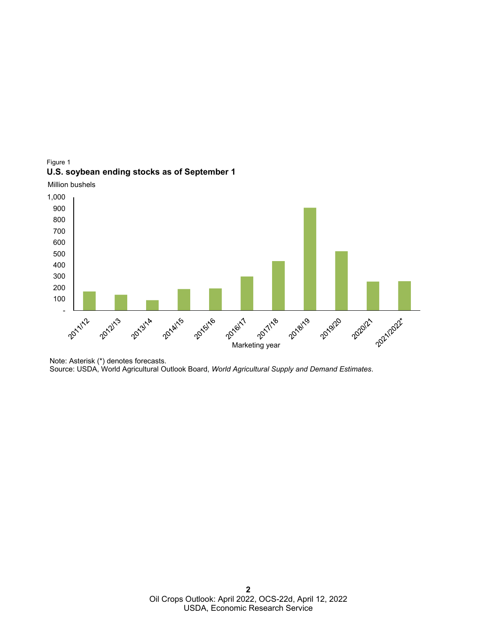





Note: Asterisk (\*) denotes forecasts. Source: USDA, World Agricultural Outlook Board, *World Agricultural Supply and Demand Estimates*.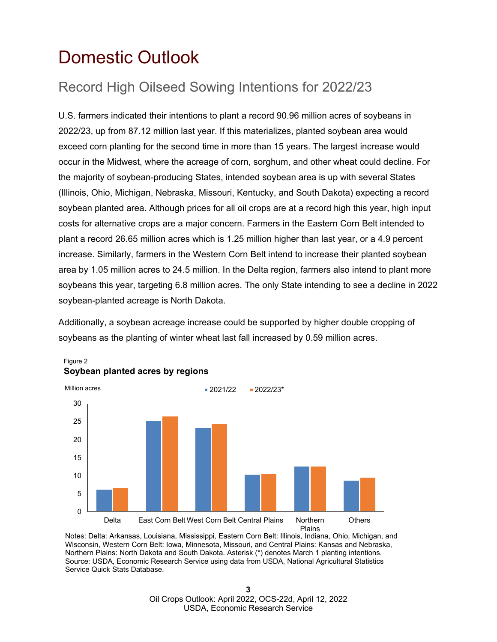## <span id="page-2-0"></span>Domestic Outlook

## Record High Oilseed Sowing Intentions for 2022/23

U.S. farmers indicated their intentions to plant a record 90.96 million acres of soybeans in 2022/23, up from 87.12 million last year. If this materializes, planted soybean area would exceed corn planting for the second time in more than 15 years. The largest increase would occur in the Midwest, where the acreage of corn, sorghum, and other wheat could decline. For the majority of soybean-producing States, intended soybean area is up with several States (Illinois, Ohio, Michigan, Nebraska, Missouri, Kentucky, and South Dakota) expecting a record soybean planted area. Although prices for all oil crops are at a record high this year, high input costs for alternative crops are a major concern. Farmers in the Eastern Corn Belt intended to plant a record 26.65 million acres which is 1.25 million higher than last year, or a 4.9 percent increase. Similarly, farmers in the Western Corn Belt intend to increase their planted soybean area by 1.05 million acres to 24.5 million. In the Delta region, farmers also intend to plant more soybeans this year, targeting 6.8 million acres. The only State intending to see a decline in 2022 soybean-planted acreage is North Dakota.

Additionally, a soybean acreage increase could be supported by higher double cropping of soybeans as the planting of winter wheat last fall increased by 0.59 million acres.



### Figure 2 **Soybean planted acres by regions**

Notes: Delta: Arkansas, Louisiana, Mississippi, Eastern Corn Belt: Illinois, Indiana, Ohio, Michigan, and Wisconsin, Western Corn Belt: Iowa, Minnesota, Missouri, and Central Plains: Kansas and Nebraska, Northern Plains: North Dakota and South Dakota. Asterisk (\*) denotes March 1 planting intentions. Source: USDA, Economic Research Service using data from USDA, National Agricultural Statistics Service Quick Stats Database.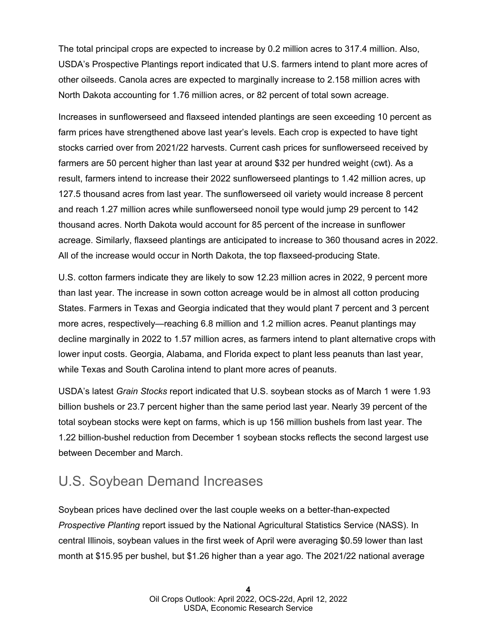The total principal crops are expected to increase by 0.2 million acres to 317.4 million. Also, USDA's Prospective Plantings report indicated that U.S. farmers intend to plant more acres of other oilseeds. Canola acres are expected to marginally increase to 2.158 million acres with North Dakota accounting for 1.76 million acres, or 82 percent of total sown acreage.

Increases in sunflowerseed and flaxseed intended plantings are seen exceeding 10 percent as farm prices have strengthened above last year's levels. Each crop is expected to have tight stocks carried over from 2021/22 harvests. Current cash prices for sunflowerseed received by farmers are 50 percent higher than last year at around \$32 per hundred weight (cwt). As a result, farmers intend to increase their 2022 sunflowerseed plantings to 1.42 million acres, up 127.5 thousand acres from last year. The sunflowerseed oil variety would increase 8 percent and reach 1.27 million acres while sunflowerseed nonoil type would jump 29 percent to 142 thousand acres. North Dakota would account for 85 percent of the increase in sunflower acreage. Similarly, flaxseed plantings are anticipated to increase to 360 thousand acres in 2022. All of the increase would occur in North Dakota, the top flaxseed-producing State.

U.S. cotton farmers indicate they are likely to sow 12.23 million acres in 2022, 9 percent more than last year. The increase in sown cotton acreage would be in almost all cotton producing States. Farmers in Texas and Georgia indicated that they would plant 7 percent and 3 percent more acres, respectively—reaching 6.8 million and 1.2 million acres. Peanut plantings may decline marginally in 2022 to 1.57 million acres, as farmers intend to plant alternative crops with lower input costs. Georgia, Alabama, and Florida expect to plant less peanuts than last year, while Texas and South Carolina intend to plant more acres of peanuts.

USDA's latest *Grain Stocks* report indicated that U.S. soybean stocks as of March 1 were 1.93 billion bushels or 23.7 percent higher than the same period last year. Nearly 39 percent of the total soybean stocks were kept on farms, which is up 156 million bushels from last year. The 1.22 billion-bushel reduction from December 1 soybean stocks reflects the second largest use between December and March.

## U.S. Soybean Demand Increases

Soybean prices have declined over the last couple weeks on a better-than-expected *Prospective Planting* report issued by the National Agricultural Statistics Service (NASS). In central Illinois, soybean values in the first week of April were averaging \$0.59 lower than last month at \$15.95 per bushel, but \$1.26 higher than a year ago. The 2021/22 national average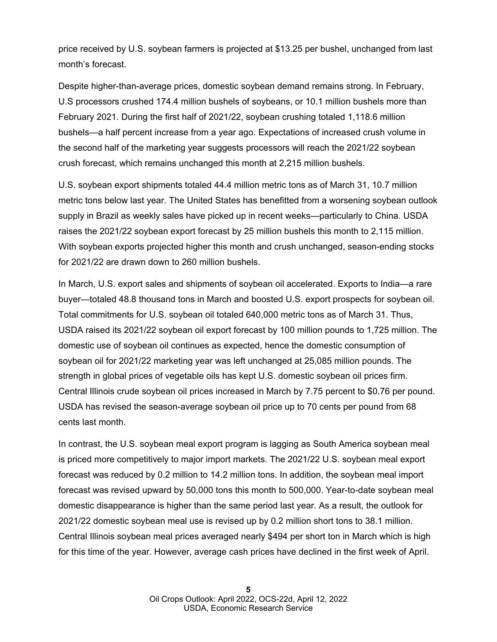price received by U.S. soybean farmers is projected at \$13.25 per bushel, unchanged from last month's forecast.

Despite higher-than-average prices, domestic soybean demand remains strong. In February, U.S processors crushed 174.4 million bushels of soybeans, or 10.1 million bushels more than February 2021. During the first half of 2021/22, soybean crushing totaled 1,118.6 million bushels—a half percent increase from a year ago. Expectations of increased crush volume in the second half of the marketing year suggests processors will reach the 2021/22 soybean crush forecast, which remains unchanged this month at 2,215 million bushels.

U.S. soybean export shipments totaled 44.4 million metric tons as of March 31, 10.7 million metric tons below last year. The United States has benefitted from a worsening soybean outlook supply in Brazil as weekly sales have picked up in recent weeks—particularly to China. USDA raises the 2021/22 soybean export forecast by 25 million bushels this month to 2,115 million. With soybean exports projected higher this month and crush unchanged, season-ending stocks for 2021/22 are drawn down to 260 million bushels.

In March, U.S. export sales and shipments of soybean oil accelerated. Exports to India—a rare buyer—totaled 48.8 thousand tons in March and boosted U.S. export prospects for soybean oil. Total commitments for U.S. soybean oil totaled 640,000 metric tons as of March 31. Thus, USDA raised its 2021/22 soybean oil export forecast by 100 million pounds to 1,725 million. The domestic use of soybean oil continues as expected, hence the domestic consumption of soybean oil for 2021/22 marketing year was left unchanged at 25,085 million pounds. The strength in global prices of vegetable oils has kept U.S. domestic soybean oil prices firm. Central Illinois crude soybean oil prices increased in March by 7.75 percent to \$0.76 per pound. USDA has revised the season-average soybean oil price up to 70 cents per pound from 68 cents last month.

In contrast, the U.S. soybean meal export program is lagging as South America soybean meal is priced more competitively to major import markets. The 2021/22 U.S. soybean meal export forecast was reduced by 0.2 million to 14.2 million tons. In addition, the soybean meal import forecast was revised upward by 50,000 tons this month to 500,000. Year-to-date soybean meal domestic disappearance is higher than the same period last year. As a result, the outlook for 2021/22 domestic soybean meal use is revised up by 0.2 million short tons to 38.1 million. Central Illinois soybean meal prices averaged nearly \$494 per short ton in March which is high for this time of the year. However, average cash prices have declined in the first week of April.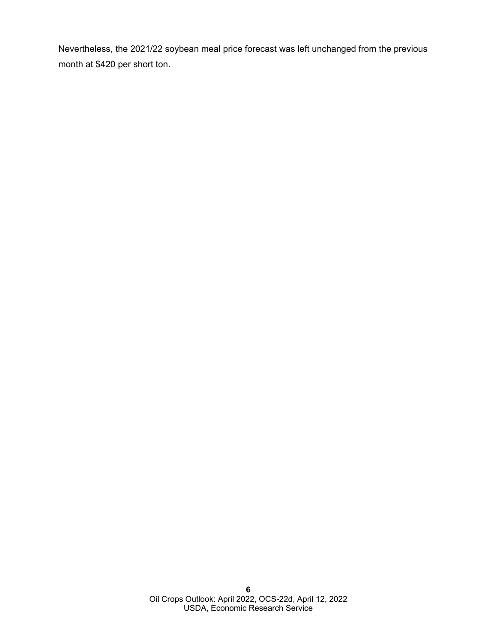Nevertheless, the 2021/22 soybean meal price forecast was left unchanged from the previous month at \$420 per short ton.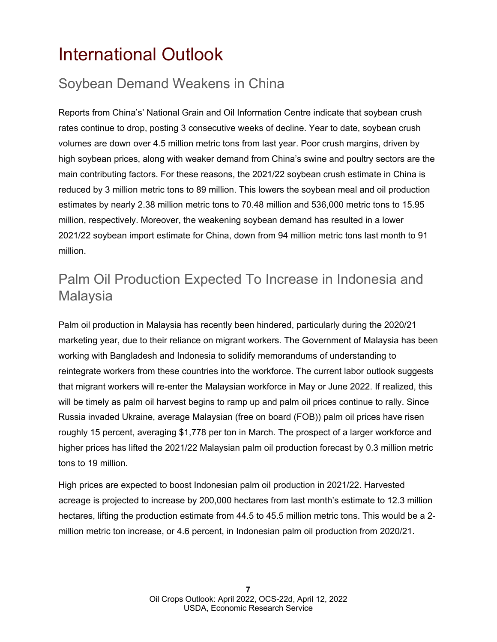## <span id="page-6-0"></span>International Outlook

## Soybean Demand Weakens in China

Reports from China's' National Grain and Oil Information Centre indicate that soybean crush rates continue to drop, posting 3 consecutive weeks of decline. Year to date, soybean crush volumes are down over 4.5 million metric tons from last year. Poor crush margins, driven by high soybean prices, along with weaker demand from China's swine and poultry sectors are the main contributing factors. For these reasons, the 2021/22 soybean crush estimate in China is reduced by 3 million metric tons to 89 million. This lowers the soybean meal and oil production estimates by nearly 2.38 million metric tons to 70.48 million and 536,000 metric tons to 15.95 million, respectively. Moreover, the weakening soybean demand has resulted in a lower 2021/22 soybean import estimate for China, down from 94 million metric tons last month to 91 million.

## Palm Oil Production Expected To Increase in Indonesia and **Malaysia**

Palm oil production in Malaysia has recently been hindered, particularly during the 2020/21 marketing year, due to their reliance on migrant workers. The Government of Malaysia has been working with Bangladesh and Indonesia to solidify memorandums of understanding to reintegrate workers from these countries into the workforce. The current labor outlook suggests that migrant workers will re-enter the Malaysian workforce in May or June 2022. If realized, this will be timely as palm oil harvest begins to ramp up and palm oil prices continue to rally. Since Russia invaded Ukraine, average Malaysian (free on board (FOB)) palm oil prices have risen roughly 15 percent, averaging \$1,778 per ton in March. The prospect of a larger workforce and higher prices has lifted the 2021/22 Malaysian palm oil production forecast by 0.3 million metric tons to 19 million.

High prices are expected to boost Indonesian palm oil production in 2021/22. Harvested acreage is projected to increase by 200,000 hectares from last month's estimate to 12.3 million hectares, lifting the production estimate from 44.5 to 45.5 million metric tons. This would be a 2 million metric ton increase, or 4.6 percent, in Indonesian palm oil production from 2020/21.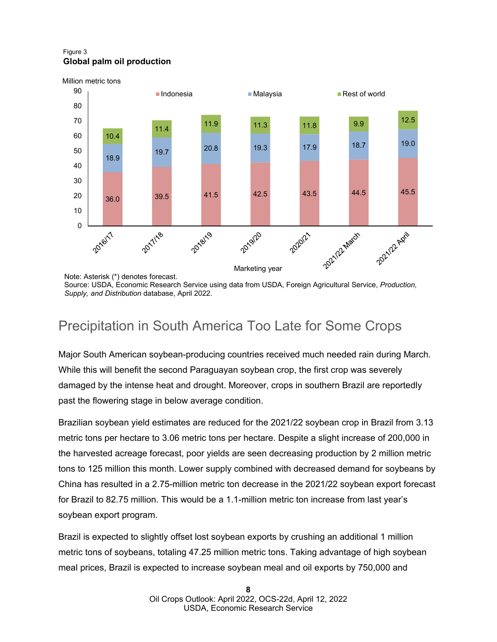### Figure 3 **Global palm oil production**



Note: Asterisk (\*) denotes forecast.

Source: USDA, Economic Research Service using data from USDA, Foreign Agricultural Service, *Production, Supply, and Distribution* database, April 2022.

## Precipitation in South America Too Late for Some Crops

Major South American soybean-producing countries received much needed rain during March. While this will benefit the second Paraguayan soybean crop, the first crop was severely damaged by the intense heat and drought. Moreover, crops in southern Brazil are reportedly past the flowering stage in below average condition.

Brazilian soybean yield estimates are reduced for the 2021/22 soybean crop in Brazil from 3.13 metric tons per hectare to 3.06 metric tons per hectare. Despite a slight increase of 200,000 in the harvested acreage forecast, poor yields are seen decreasing production by 2 million metric tons to 125 million this month. Lower supply combined with decreased demand for soybeans by China has resulted in a 2.75-million metric ton decrease in the 2021/22 soybean export forecast for Brazil to 82.75 million. This would be a 1.1-million metric ton increase from last year's soybean export program.

Brazil is expected to slightly offset lost soybean exports by crushing an additional 1 million metric tons of soybeans, totaling 47.25 million metric tons. Taking advantage of high soybean meal prices, Brazil is expected to increase soybean meal and oil exports by 750,000 and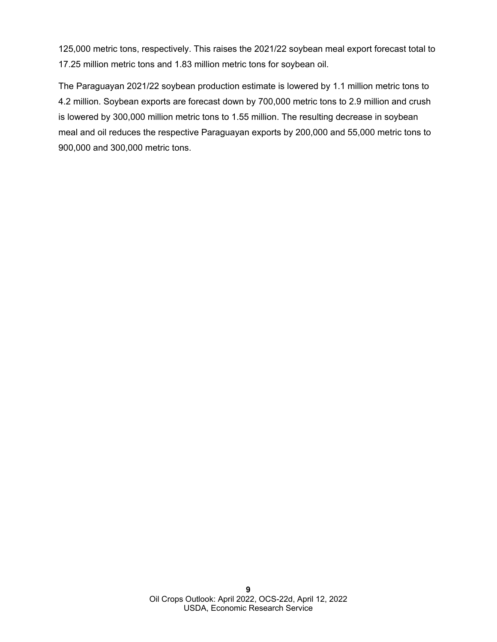125,000 metric tons, respectively. This raises the 2021/22 soybean meal export forecast total to 17.25 million metric tons and 1.83 million metric tons for soybean oil.

The Paraguayan 2021/22 soybean production estimate is lowered by 1.1 million metric tons to 4.2 million. Soybean exports are forecast down by 700,000 metric tons to 2.9 million and crush is lowered by 300,000 million metric tons to 1.55 million. The resulting decrease in soybean meal and oil reduces the respective Paraguayan exports by 200,000 and 55,000 metric tons to 900,000 and 300,000 metric tons.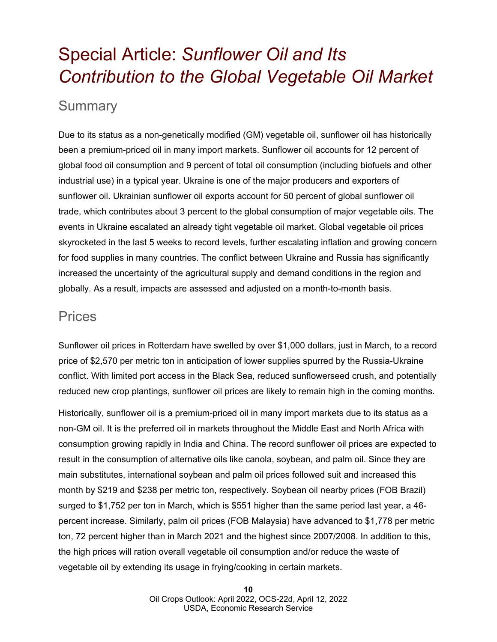## <span id="page-9-0"></span>Special Article: *Sunflower Oil and Its Contribution to the Global Vegetable Oil Market*

### **Summary**

Due to its status as a non-genetically modified (GM) vegetable oil, sunflower oil has historically been a premium-priced oil in many import markets. Sunflower oil accounts for 12 percent of global food oil consumption and 9 percent of total oil consumption (including biofuels and other industrial use) in a typical year. Ukraine is one of the major producers and exporters of sunflower oil. Ukrainian sunflower oil exports account for 50 percent of global sunflower oil trade, which contributes about 3 percent to the global consumption of major vegetable oils. The events in Ukraine escalated an already tight vegetable oil market. Global vegetable oil prices skyrocketed in the last 5 weeks to record levels, further escalating inflation and growing concern for food supplies in many countries. The conflict between Ukraine and Russia has significantly increased the uncertainty of the agricultural supply and demand conditions in the region and globally. As a result, impacts are assessed and adjusted on a month-to-month basis.

### **Prices**

Sunflower oil prices in Rotterdam have swelled by over \$1,000 dollars, just in March, to a record price of \$2,570 per metric ton in anticipation of lower supplies spurred by the Russia-Ukraine conflict. With limited port access in the Black Sea, reduced sunflowerseed crush, and potentially reduced new crop plantings, sunflower oil prices are likely to remain high in the coming months.

Historically, sunflower oil is a premium-priced oil in many import markets due to its status as a non-GM oil. It is the preferred oil in markets throughout the Middle East and North Africa with consumption growing rapidly in India and China. The record sunflower oil prices are expected to result in the consumption of alternative oils like canola, soybean, and palm oil. Since they are main substitutes, international soybean and palm oil prices followed suit and increased this month by \$219 and \$238 per metric ton, respectively. Soybean oil nearby prices (FOB Brazil) surged to \$1,752 per ton in March, which is \$551 higher than the same period last year, a 46 percent increase. Similarly, palm oil prices (FOB Malaysia) have advanced to \$1,778 per metric ton, 72 percent higher than in March 2021 and the highest since 2007/2008. In addition to this, the high prices will ration overall vegetable oil consumption and/or reduce the waste of vegetable oil by extending its usage in frying/cooking in certain markets.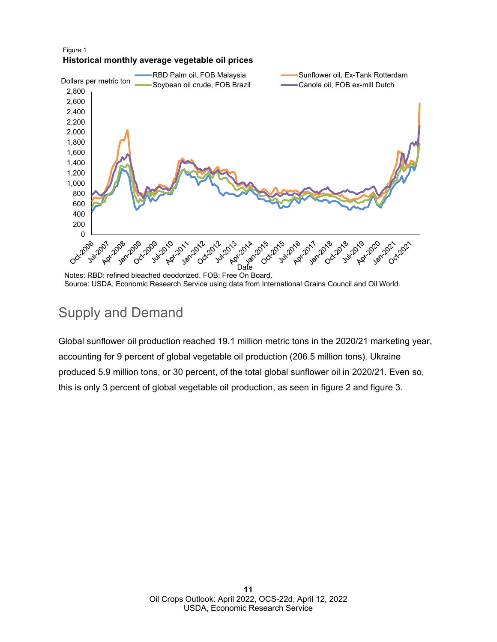#### Figure 1 **Historical monthly average vegetable oil prices**



Notes: RBD: refined bleached deodorized. FOB: Free On Board. Source: USDA, Economic Research Service using data from International Grains Council and Oil World.

## Supply and Demand

Global sunflower oil production reached 19.1 million metric tons in the 2020/21 marketing year, accounting for 9 percent of global vegetable oil production (206.5 million tons). Ukraine produced 5.9 million tons, or 30 percent, of the total global sunflower oil in 2020/21. Even so, this is only 3 percent of global vegetable oil production, as seen in figure 2 and figure 3.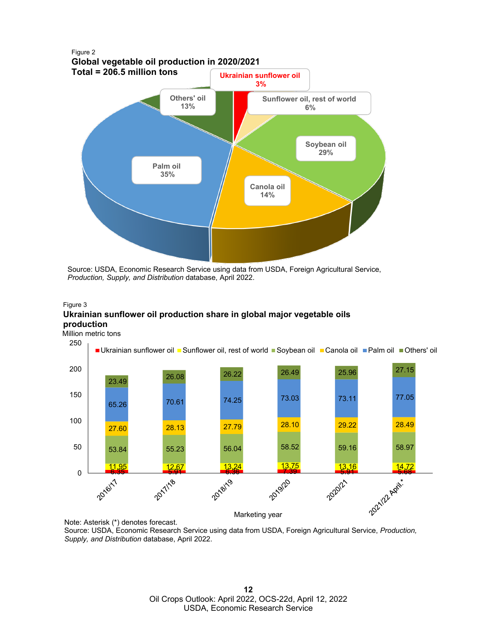

Source: USDA, Economic Research Service using data from USDA, Foreign Agricultural Service, *Production, Supply, and Distribution* database, April 2022.

#### Figure 3

### **Ukrainian sunflower oil production share in global major vegetable oils production**

Million metric tons



Note: Asterisk (\*) denotes forecast.

Source: USDA, Economic Research Service using data from USDA, Foreign Agricultural Service, *Production, Supply, and Distribution* database, April 2022.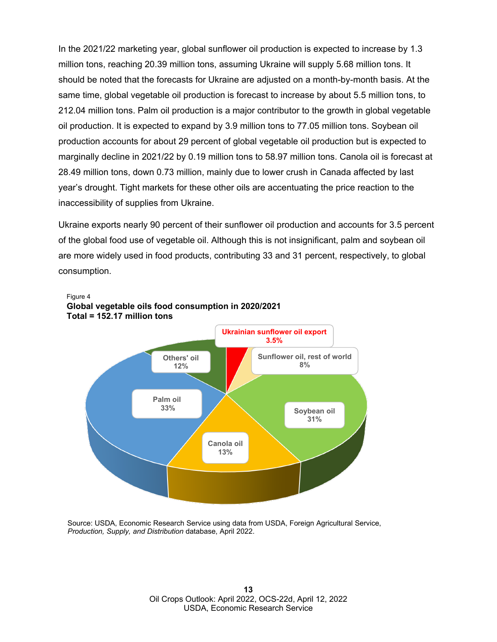In the 2021/22 marketing year, global sunflower oil production is expected to increase by 1.3 million tons, reaching 20.39 million tons, assuming Ukraine will supply 5.68 million tons. It should be noted that the forecasts for Ukraine are adjusted on a month-by-month basis. At the same time, global vegetable oil production is forecast to increase by about 5.5 million tons, to 212.04 million tons. Palm oil production is a major contributor to the growth in global vegetable oil production. It is expected to expand by 3.9 million tons to 77.05 million tons. Soybean oil production accounts for about 29 percent of global vegetable oil production but is expected to marginally decline in 2021/22 by 0.19 million tons to 58.97 million tons. Canola oil is forecast at 28.49 million tons, down 0.73 million, mainly due to lower crush in Canada affected by last year's drought. Tight markets for these other oils are accentuating the price reaction to the inaccessibility of supplies from Ukraine.

Ukraine exports nearly 90 percent of their sunflower oil production and accounts for 3.5 percent of the global food use of vegetable oil. Although this is not insignificant, palm and soybean oil are more widely used in food products, contributing 33 and 31 percent, respectively, to global consumption.



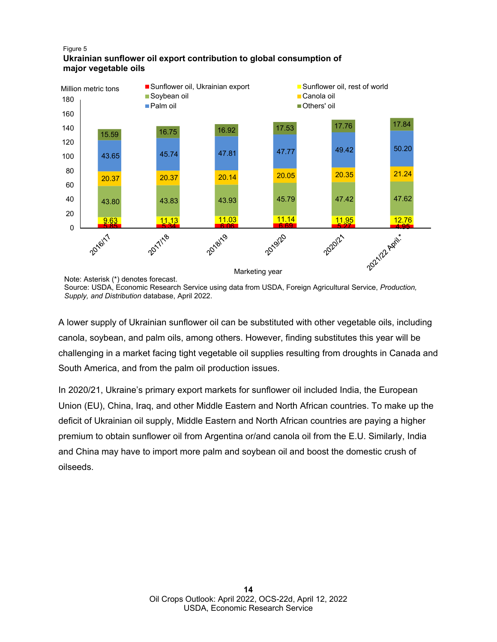#### Figure 5 **Ukrainian sunflower oil export contribution to global consumption of major vegetable oils**



Note: Asterisk (\*) denotes forecast. Source: USDA, Economic Research Service using data from USDA, Foreign Agricultural Service, *Production, Supply, and Distribution* database, April 2022.

A lower supply of Ukrainian sunflower oil can be substituted with other vegetable oils, including canola, soybean, and palm oils, among others. However, finding substitutes this year will be challenging in a market facing tight vegetable oil supplies resulting from droughts in Canada and South America, and from the palm oil production issues.

In 2020/21, Ukraine's primary export markets for sunflower oil included India, the European Union (EU), China, Iraq, and other Middle Eastern and North African countries. To make up the deficit of Ukrainian oil supply, Middle Eastern and North African countries are paying a higher premium to obtain sunflower oil from Argentina or/and canola oil from the E.U. Similarly, India and China may have to import more palm and soybean oil and boost the domestic crush of oilseeds.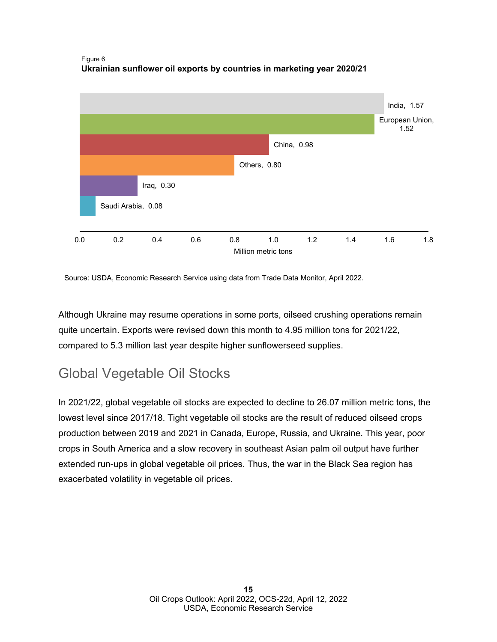Figure 6 **Ukrainian sunflower oil exports by countries in marketing year 2020/21**



Source: USDA, Economic Research Service using data from Trade Data Monitor, April 2022.

Although Ukraine may resume operations in some ports, oilseed crushing operations remain quite uncertain. Exports were revised down this month to 4.95 million tons for 2021/22, compared to 5.3 million last year despite higher sunflowerseed supplies.

## Global Vegetable Oil Stocks

In 2021/22, global vegetable oil stocks are expected to decline to 26.07 million metric tons, the lowest level since 2017/18. Tight vegetable oil stocks are the result of reduced oilseed crops production between 2019 and 2021 in Canada, Europe, Russia, and Ukraine. This year, poor crops in South America and a slow recovery in southeast Asian palm oil output have further extended run-ups in global vegetable oil prices. Thus, the war in the Black Sea region has exacerbated volatility in vegetable oil prices.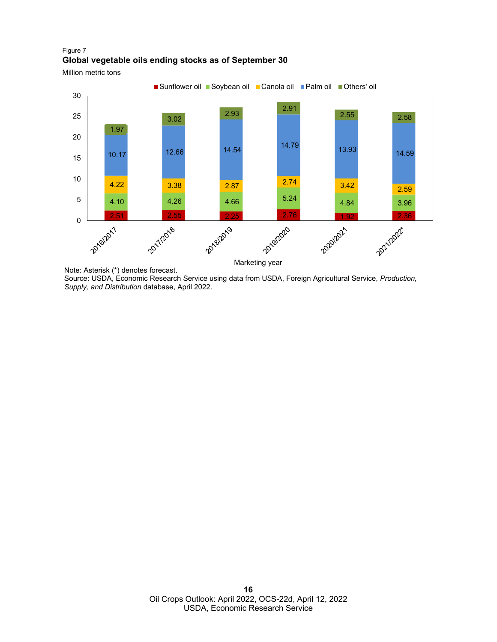### Figure 7 **Global vegetable oils ending stocks as of September 30**

Million metric tons



Note: Asterisk (\*) denotes forecast.

Source: USDA, Economic Research Service using data from USDA, Foreign Agricultural Service, *Production, Supply, and Distribution* database, April 2022.